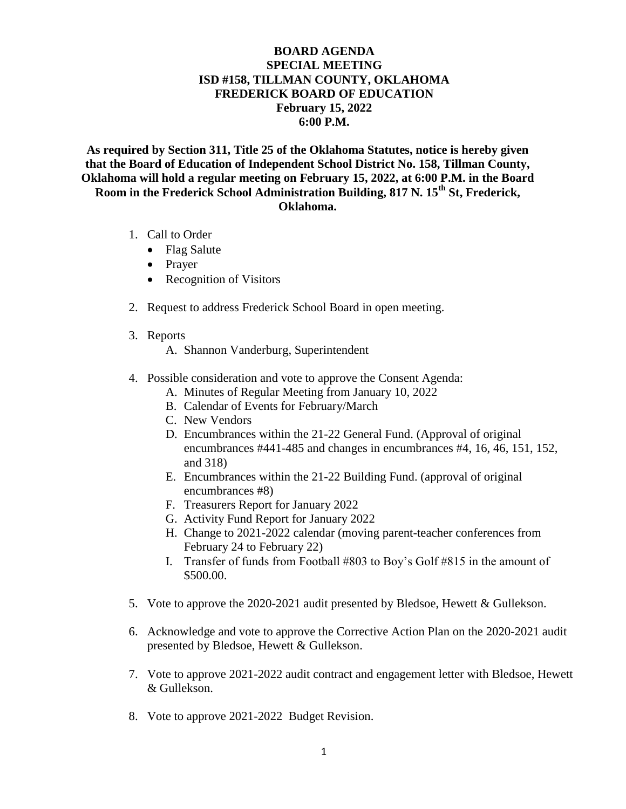## **BOARD AGENDA SPECIAL MEETING ISD #158, TILLMAN COUNTY, OKLAHOMA FREDERICK BOARD OF EDUCATION February 15, 2022 6:00 P.M.**

**As required by Section 311, Title 25 of the Oklahoma Statutes, notice is hereby given that the Board of Education of Independent School District No. 158, Tillman County, Oklahoma will hold a regular meeting on February 15, 2022, at 6:00 P.M. in the Board Room in the Frederick School Administration Building, 817 N. 15th St, Frederick, Oklahoma.**

- 1. Call to Order
	- Flag Salute
	- Prayer
	- Recognition of Visitors
- 2. Request to address Frederick School Board in open meeting.
- 3. Reports
	- A. Shannon Vanderburg, Superintendent
- 4. Possible consideration and vote to approve the Consent Agenda:
	- A. Minutes of Regular Meeting from January 10, 2022
	- B. Calendar of Events for February/March
	- C. New Vendors
	- D. Encumbrances within the 21-22 General Fund. (Approval of original encumbrances #441-485 and changes in encumbrances #4, 16, 46, 151, 152, and 318)
	- E. Encumbrances within the 21-22 Building Fund. (approval of original encumbrances #8)
	- F. Treasurers Report for January 2022
	- G. Activity Fund Report for January 2022
	- H. Change to 2021-2022 calendar (moving parent-teacher conferences from February 24 to February 22)
	- I. Transfer of funds from Football #803 to Boy's Golf #815 in the amount of \$500.00.
- 5. Vote to approve the 2020-2021 audit presented by Bledsoe, Hewett & Gullekson.
- 6. Acknowledge and vote to approve the Corrective Action Plan on the 2020-2021 audit presented by Bledsoe, Hewett & Gullekson.
- 7. Vote to approve 2021-2022 audit contract and engagement letter with Bledsoe, Hewett & Gullekson.
- 8. Vote to approve 2021-2022 Budget Revision.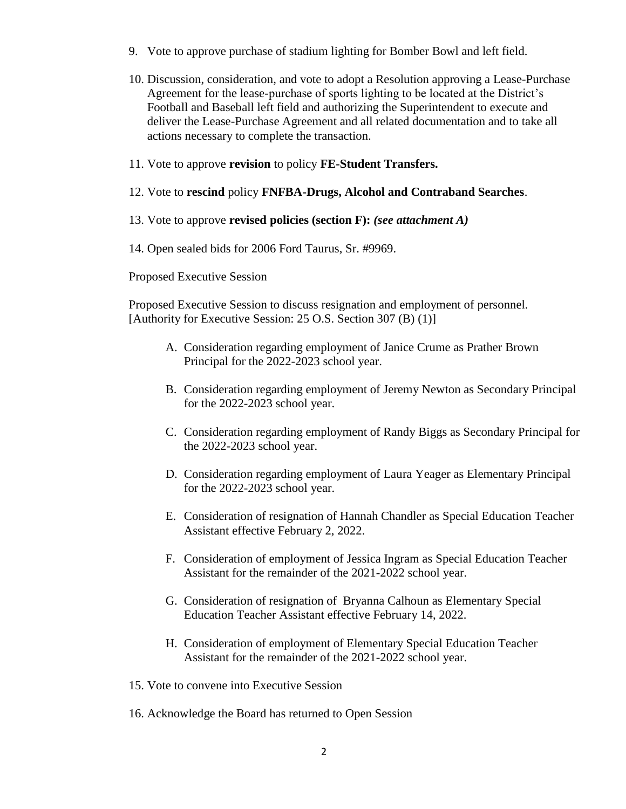- 9. Vote to approve purchase of stadium lighting for Bomber Bowl and left field.
- 10. Discussion, consideration, and vote to adopt a Resolution approving a Lease-Purchase Agreement for the lease-purchase of sports lighting to be located at the District's Football and Baseball left field and authorizing the Superintendent to execute and deliver the Lease-Purchase Agreement and all related documentation and to take all actions necessary to complete the transaction.
- 11. Vote to approve **revision** to policy **FE-Student Transfers.**
- 12. Vote to **rescind** policy **FNFBA-Drugs, Alcohol and Contraband Searches**.
- 13. Vote to approve **revised policies (section F):** *(see attachment A)*
- 14. Open sealed bids for 2006 Ford Taurus, Sr. #9969.

Proposed Executive Session

Proposed Executive Session to discuss resignation and employment of personnel. [Authority for Executive Session: 25 O.S. Section 307 (B) (1)]

- A. Consideration regarding employment of Janice Crume as Prather Brown Principal for the 2022-2023 school year.
- B. Consideration regarding employment of Jeremy Newton as Secondary Principal for the 2022-2023 school year.
- C. Consideration regarding employment of Randy Biggs as Secondary Principal for the 2022-2023 school year.
- D. Consideration regarding employment of Laura Yeager as Elementary Principal for the 2022-2023 school year.
- E. Consideration of resignation of Hannah Chandler as Special Education Teacher Assistant effective February 2, 2022.
- F. Consideration of employment of Jessica Ingram as Special Education Teacher Assistant for the remainder of the 2021-2022 school year.
- G. Consideration of resignation of Bryanna Calhoun as Elementary Special Education Teacher Assistant effective February 14, 2022.
- H. Consideration of employment of Elementary Special Education Teacher Assistant for the remainder of the 2021-2022 school year.
- 15. Vote to convene into Executive Session
- 16. Acknowledge the Board has returned to Open Session